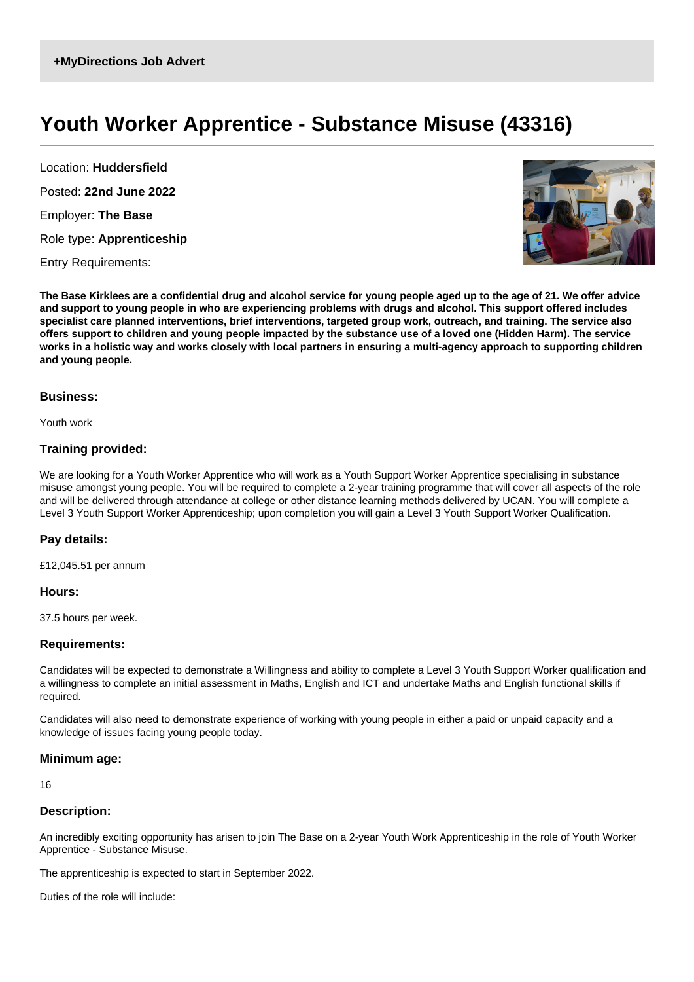# **Youth Worker Apprentice - Substance Misuse (43316)**

Location: **Huddersfield** Posted: **22nd June 2022** Employer: **The Base**

Role type: **Apprenticeship**

Entry Requirements:



**The Base Kirklees are a confidential drug and alcohol service for young people aged up to the age of 21. We offer advice and support to young people in who are experiencing problems with drugs and alcohol. This support offered includes specialist care planned interventions, brief interventions, targeted group work, outreach, and training. The service also offers support to children and young people impacted by the substance use of a loved one (Hidden Harm). The service works in a holistic way and works closely with local partners in ensuring a multi-agency approach to supporting children and young people.**

# **Business:**

Youth work

# **Training provided:**

We are looking for a Youth Worker Apprentice who will work as a Youth Support Worker Apprentice specialising in substance misuse amongst young people. You will be required to complete a 2-year training programme that will cover all aspects of the role and will be delivered through attendance at college or other distance learning methods delivered by UCAN. You will complete a Level 3 Youth Support Worker Apprenticeship; upon completion you will gain a Level 3 Youth Support Worker Qualification.

# **Pay details:**

£12,045.51 per annum

#### **Hours:**

37.5 hours per week.

# **Requirements:**

Candidates will be expected to demonstrate a Willingness and ability to complete a Level 3 Youth Support Worker qualification and a willingness to complete an initial assessment in Maths, English and ICT and undertake Maths and English functional skills if required.

Candidates will also need to demonstrate experience of working with young people in either a paid or unpaid capacity and a knowledge of issues facing young people today.

#### **Minimum age:**

16

# **Description:**

An incredibly exciting opportunity has arisen to join The Base on a 2-year Youth Work Apprenticeship in the role of Youth Worker Apprentice - Substance Misuse.

The apprenticeship is expected to start in September 2022.

Duties of the role will include: